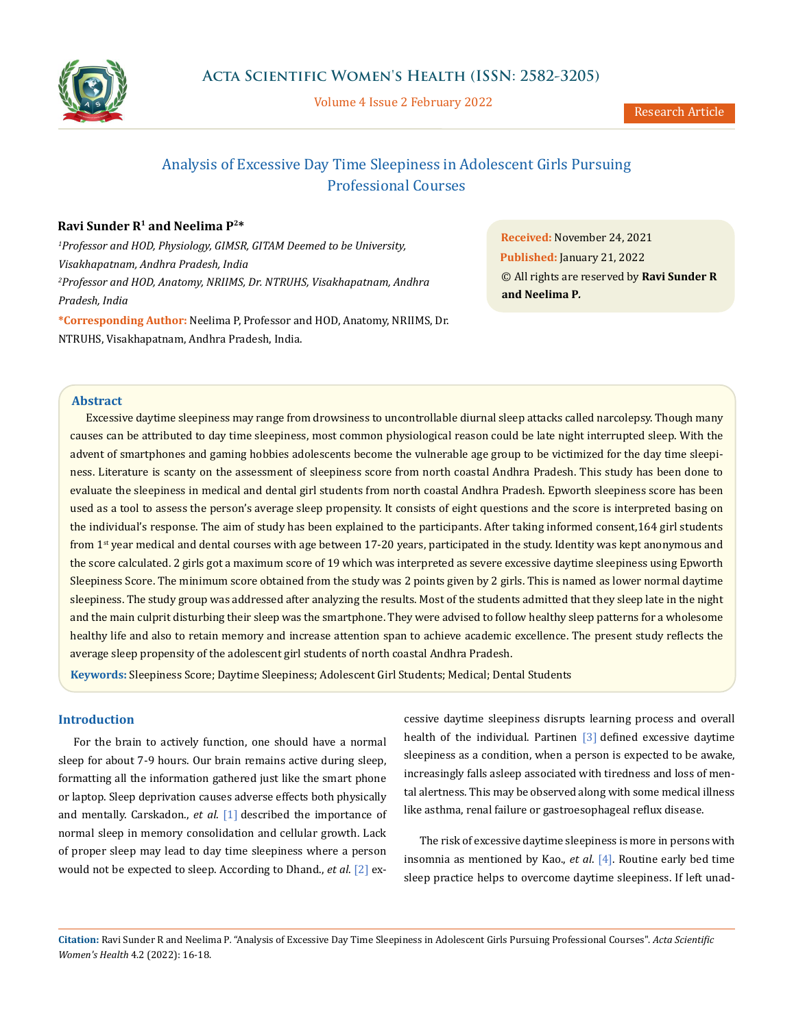

Volume 4 Issue 2 February 2022

# Analysis of Excessive Day Time Sleepiness in Adolescent Girls Pursuing Professional Courses

# **Ravi Sunder R1 and Neelima P2\***

*1 Professor and HOD, Physiology, GIMSR, GITAM Deemed to be University, Visakhapatnam, Andhra Pradesh, India 2 Professor and HOD, Anatomy, NRIIMS, Dr. NTRUHS, Visakhapatnam, Andhra Pradesh, India* **\*Corresponding Author:** Neelima P, Professor and HOD, Anatomy, NRIIMS, Dr. NTRUHS, Visakhapatnam, Andhra Pradesh, India.

**Received:** November 24, 2021 **Published:** January 21, 2022 © All rights are reserved by **Ravi Sunder R and Neelima P***.*

## **Abstract**

Excessive daytime sleepiness may range from drowsiness to uncontrollable diurnal sleep attacks called narcolepsy. Though many causes can be attributed to day time sleepiness, most common physiological reason could be late night interrupted sleep. With the advent of smartphones and gaming hobbies adolescents become the vulnerable age group to be victimized for the day time sleepiness. Literature is scanty on the assessment of sleepiness score from north coastal Andhra Pradesh. This study has been done to evaluate the sleepiness in medical and dental girl students from north coastal Andhra Pradesh. Epworth sleepiness score has been used as a tool to assess the person's average sleep propensity. It consists of eight questions and the score is interpreted basing on the individual's response. The aim of study has been explained to the participants. After taking informed consent,164 girl students from 1<sup>st</sup> year medical and dental courses with age between 17-20 years, participated in the study. Identity was kept anonymous and the score calculated. 2 girls got a maximum score of 19 which was interpreted as severe excessive daytime sleepiness using Epworth Sleepiness Score. The minimum score obtained from the study was 2 points given by 2 girls. This is named as lower normal daytime sleepiness. The study group was addressed after analyzing the results. Most of the students admitted that they sleep late in the night and the main culprit disturbing their sleep was the smartphone. They were advised to follow healthy sleep patterns for a wholesome healthy life and also to retain memory and increase attention span to achieve academic excellence. The present study reflects the average sleep propensity of the adolescent girl students of north coastal Andhra Pradesh.

**Keywords:** Sleepiness Score; Daytime Sleepiness; Adolescent Girl Students; Medical; Dental Students

# **Introduction**

For the brain to actively function, one should have a normal sleep for about 7-9 hours. Our brain remains active during sleep, formatting all the information gathered just like the smart phone or laptop. Sleep deprivation causes adverse effects both physically and mentally. Carskadon., *et al*. [1] described the importance of normal sleep in memory consolidation and cellular growth. Lack of proper sleep may lead to day time sleepiness where a person would not be expected to sleep. According to Dhand., *et al*. [2] ex-

cessive daytime sleepiness disrupts learning process and overall health of the individual. Partinen [3] defined excessive daytime sleepiness as a condition, when a person is expected to be awake, increasingly falls asleep associated with tiredness and loss of mental alertness. This may be observed along with some medical illness like asthma, renal failure or gastroesophageal reflux disease.

The risk of excessive daytime sleepiness is more in persons with insomnia as mentioned by Kao., *et al*. [4]. Routine early bed time sleep practice helps to overcome daytime sleepiness. If left unad-

**Citation:** Ravi Sunder R and Neelima P*.* "Analysis of Excessive Day Time Sleepiness in Adolescent Girls Pursuing Professional Courses". *Acta Scientific Women's Health* 4.2 (2022): 16-18.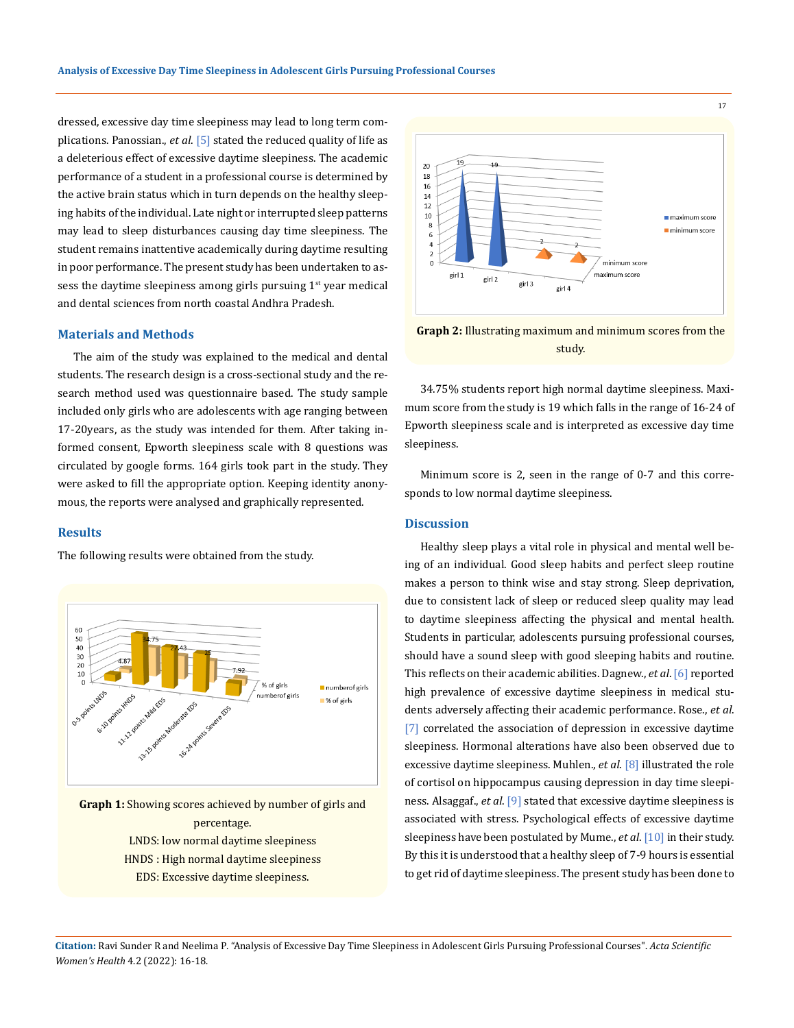dressed, excessive day time sleepiness may lead to long term complications. Panossian., *et al*. [5] stated the reduced quality of life as a deleterious effect of excessive daytime sleepiness. The academic performance of a student in a professional course is determined by the active brain status which in turn depends on the healthy sleeping habits of the individual. Late night or interrupted sleep patterns may lead to sleep disturbances causing day time sleepiness. The student remains inattentive academically during daytime resulting in poor performance. The present study has been undertaken to assess the daytime sleepiness among girls pursuing  $1<sup>st</sup>$  year medical and dental sciences from north coastal Andhra Pradesh.

# **Materials and Methods**

The aim of the study was explained to the medical and dental students. The research design is a cross-sectional study and the research method used was questionnaire based. The study sample included only girls who are adolescents with age ranging between 17-20years, as the study was intended for them. After taking informed consent, Epworth sleepiness scale with 8 questions was circulated by google forms. 164 girls took part in the study. They were asked to fill the appropriate option. Keeping identity anonymous, the reports were analysed and graphically represented.

# **Results**

The following results were obtained from the study.



**Graph 1:** Showing scores achieved by number of girls and percentage. LNDS: low normal daytime sleepiness HNDS : High normal daytime sleepiness EDS: Excessive daytime sleepiness.



**Graph 2:** Illustrating maximum and minimum scores from the study.

34.75% students report high normal daytime sleepiness. Maximum score from the study is 19 which falls in the range of 16-24 of Epworth sleepiness scale and is interpreted as excessive day time sleepiness.

Minimum score is 2, seen in the range of 0-7 and this corresponds to low normal daytime sleepiness.

#### **Discussion**

Healthy sleep plays a vital role in physical and mental well being of an individual. Good sleep habits and perfect sleep routine makes a person to think wise and stay strong. Sleep deprivation, due to consistent lack of sleep or reduced sleep quality may lead to daytime sleepiness affecting the physical and mental health. Students in particular, adolescents pursuing professional courses, should have a sound sleep with good sleeping habits and routine. This reflects on their academic abilities. Dagnew., *et al*. [6] reported high prevalence of excessive daytime sleepiness in medical students adversely affecting their academic performance. Rose., *et al*. [7] correlated the association of depression in excessive daytime sleepiness. Hormonal alterations have also been observed due to excessive daytime sleepiness. Muhlen., *et al*. [8] illustrated the role of cortisol on hippocampus causing depression in day time sleepiness. Alsaggaf., *et al*. [9] stated that excessive daytime sleepiness is associated with stress. Psychological effects of excessive daytime sleepiness have been postulated by Mume., *et al*. [10] in their study. By this it is understood that a healthy sleep of 7-9 hours is essential to get rid of daytime sleepiness. The present study has been done to

**Citation:** Ravi Sunder R and Neelima P*.* "Analysis of Excessive Day Time Sleepiness in Adolescent Girls Pursuing Professional Courses". *Acta Scientific Women's Health* 4.2 (2022): 16-18.